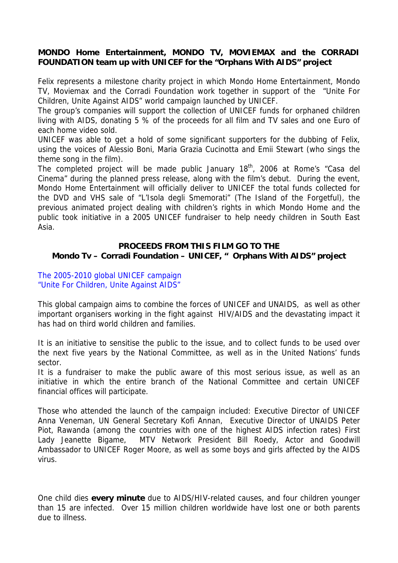### **MONDO Home Entertainment, MONDO TV, MOVIEMAX and the CORRADI FOUNDATION team up with UNICEF for the "Orphans With AIDS" project**

Felix represents a milestone charity project in which Mondo Home Entertainment, Mondo TV, Moviemax and the Corradi Foundation work together in support of the "Unite For Children, Unite Against AIDS" world campaign launched by UNICEF.

The group's companies will support the collection of UNICEF funds for orphaned children living with AIDS, donating 5 % of the proceeds for all film and TV sales and one Euro of each home video sold.

UNICEF was able to get a hold of some significant supporters for the dubbing of Felix, using the voices of Alessio Boni, Maria Grazia Cucinotta and Emii Stewart (who sings the theme song in the film).

The completed project will be made public January 18<sup>th</sup>, 2006 at Rome's "Casa del Cinema" during the planned press release, along with the film's debut. During the event, Mondo Home Entertainment will officially deliver to UNICEF the total funds collected for the DVD and VHS sale of "L'Isola degli Smemorati" (The Island of the Forgetful), the previous animated project dealing with children's rights in which Mondo Home and the public took initiative in a 2005 UNICEF fundraiser to help needy children in South East Asia.

## **PROCEEDS FROM THIS FILM GO TO THE Mondo Tv – Corradi Foundation – UNICEF, " Orphans With AIDS" project**

### The 2005-2010 global UNICEF campaign "Unite For Children, Unite Against AIDS"

This global campaign aims to combine the forces of UNICEF and UNAIDS, as well as other important organisers working in the fight against HIV/AIDS and the devastating impact it has had on third world children and families.

It is an initiative to sensitise the public to the issue, and to collect funds to be used over the next five years by the National Committee, as well as in the United Nations' funds sector.

It is a fundraiser to make the public aware of this most serious issue, as well as an initiative in which the entire branch of the National Committee and certain UNICEF financial offices will participate.

Those who attended the launch of the campaign included: Executive Director of UNICEF Anna Veneman, UN General Secretary Kofi Annan, Executive Director of UNAIDS Peter Piot, Rawanda (among the countries with one of the highest AIDS infection rates) First Lady Jeanette Bigame, MTV Network President Bill Roedy, Actor and Goodwill Ambassador to UNICEF Roger Moore, as well as some boys and girls affected by the AIDS virus.

One child dies **every minute** due to AIDS/HIV-related causes, and four children younger than 15 are infected. Over 15 million children worldwide have lost one or both parents due to illness.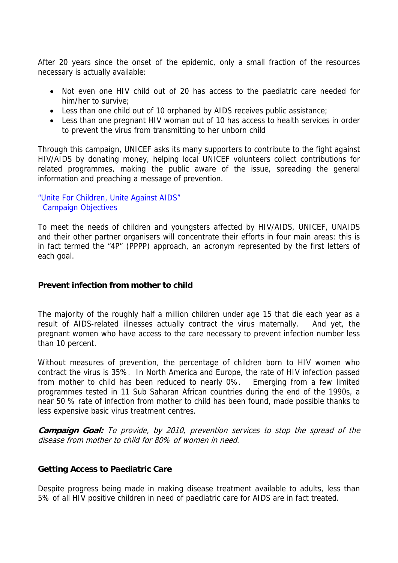After 20 years since the onset of the epidemic, only a small fraction of the resources necessary is actually available:

- Not even one HIV child out of 20 has access to the paediatric care needed for him/her to survive;
- Less than one child out of 10 orphaned by AIDS receives public assistance;
- Less than one pregnant HIV woman out of 10 has access to health services in order to prevent the virus from transmitting to her unborn child

Through this campaign, UNICEF asks its many supporters to contribute to the fight against HIV/AIDS by donating money, helping local UNICEF volunteers collect contributions for related programmes, making the public aware of the issue, spreading the general information and preaching a message of prevention.

### "Unite For Children, Unite Against AIDS" Campaign Objectives

To meet the needs of children and youngsters affected by HIV/AIDS, UNICEF, UNAIDS and their other partner organisers will concentrate their efforts in four main areas: this is in fact termed the "4P" (PPPP) approach, an acronym represented by the first letters of each goal.

## **Prevent infection from mother to child**

The majority of the roughly half a million children under age 15 that die each year as a result of AIDS-related illnesses actually contract the virus maternally. And yet, the pregnant women who have access to the care necessary to prevent infection number less than 10 percent.

Without measures of prevention, the percentage of children born to HIV women who contract the virus is 35%. In North America and Europe, the rate of HIV infection passed from mother to child has been reduced to nearly 0%. Emerging from a few limited programmes tested in 11 Sub Saharan African countries during the end of the 1990s, a near 50 % rate of infection from mother to child has been found, made possible thanks to less expensive basic virus treatment centres.

**Campaign Goal:** To provide, by 2010, prevention services to stop the spread of the disease from mother to child for 80% of women in need.

#### **Getting Access to Paediatric Care**

Despite progress being made in making disease treatment available to adults, less than 5% of all HIV positive children in need of paediatric care for AIDS are in fact treated.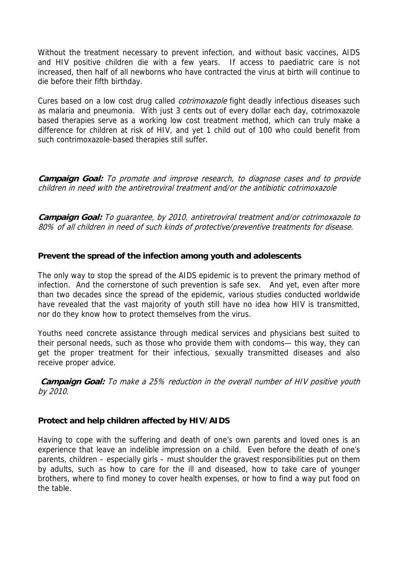Without the treatment necessary to prevent infection, and without basic vaccines, AIDS and HIV positive children die with a few years. If access to paediatric care is not increased, then half of all newborns who have contracted the virus at birth will continue to die before their fifth birthday.

Cures based on a low cost drug called *cotrimoxazole* fight deadly infectious diseases such as malaria and pneumonia. With just 3 cents out of every dollar each day, cotrimoxazole based therapies serve as a working low cost treatment method, which can truly make a difference for children at risk of HIV, and yet 1 child out of 100 who could benefit from such contrimoxazole-based therapies still suffer.

**Campaign Goal:** To promote and improve research, to diagnose cases and to provide children in need with the antiretroviral treatment and/or the antibiotic cotrimoxazole

**Campaign Goal:** To guarantee, by 2010, antiretroviral treatment and/or cotrimoxazole to 80% of all children in need of such kinds of protective/preventive treatments for disease.

# **Prevent the spread of the infection among youth and adolescents**

The only way to stop the spread of the AIDS epidemic is to prevent the primary method of infection. And the cornerstone of such prevention is safe sex. And yet, even after more than two decades since the spread of the epidemic, various studies conducted worldwide have revealed that the vast majority of youth still have no idea how HIV is transmitted, nor do they know how to protect themselves from the virus.

Youths need concrete assistance through medical services and physicians best suited to their personal needs, such as those who provide them with condoms— this way, they can get the proper treatment for their infectious, sexually transmitted diseases and also receive proper advice.

**Campaign Goal:** To make a 25% reduction in the overall number of HIV positive youth by 2010.

#### **Protect and help children affected by HIV/AIDS**

Having to cope with the suffering and death of one's own parents and loved ones is an experience that leave an indelible impression on a child. Even before the death of one's parents, children – especially girls – must shoulder the gravest responsibilities put on them by adults, such as how to care for the ill and diseased, how to take care of younger brothers, where to find money to cover health expenses, or how to find a way put food on the table.